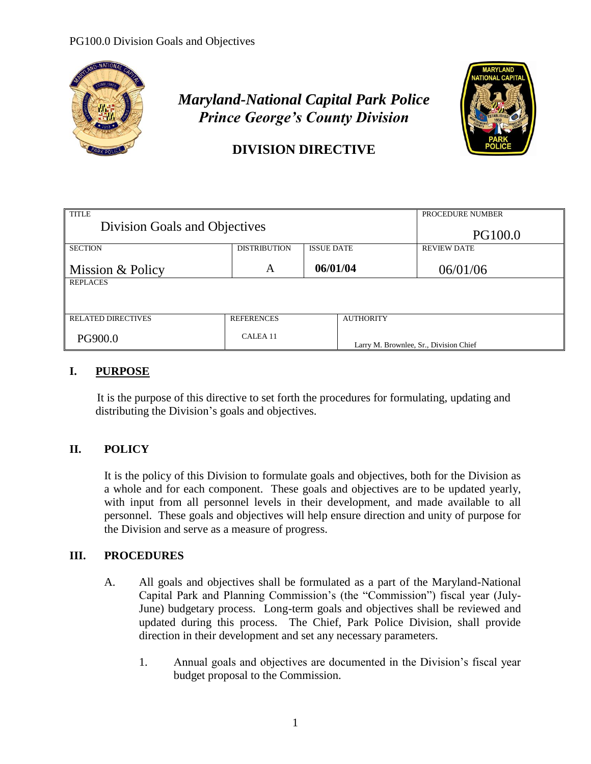

# *Maryland-National Capital Park Police Prince George's County Division*



## **DIVISION DIRECTIVE**

| <b>TITLE</b><br>Division Goals and Objectives |                     |                   | PROCEDURE NUMBER                       |
|-----------------------------------------------|---------------------|-------------------|----------------------------------------|
|                                               |                     |                   | <b>PG100.0</b>                         |
| <b>SECTION</b>                                | <b>DISTRIBUTION</b> | <b>ISSUE DATE</b> | <b>REVIEW DATE</b>                     |
| Mission & Policy                              | A                   | 06/01/04          | 06/01/06                               |
| <b>REPLACES</b>                               |                     |                   |                                        |
|                                               |                     |                   |                                        |
| <b>RELATED DIRECTIVES</b>                     | <b>REFERENCES</b>   | <b>AUTHORITY</b>  |                                        |
| PG900.0                                       | CALEA <sub>11</sub> |                   | Larry M. Brownlee, Sr., Division Chief |

#### **I. PURPOSE**

It is the purpose of this directive to set forth the procedures for formulating, updating and distributing the Division's goals and objectives.

### **II. POLICY**

It is the policy of this Division to formulate goals and objectives, both for the Division as a whole and for each component. These goals and objectives are to be updated yearly, with input from all personnel levels in their development, and made available to all personnel. These goals and objectives will help ensure direction and unity of purpose for the Division and serve as a measure of progress.

### **III. PROCEDURES**

- A. All goals and objectives shall be formulated as a part of the Maryland-National Capital Park and Planning Commission's (the "Commission") fiscal year (July-June) budgetary process. Long-term goals and objectives shall be reviewed and updated during this process. The Chief, Park Police Division, shall provide direction in their development and set any necessary parameters.
	- 1. Annual goals and objectives are documented in the Division's fiscal year budget proposal to the Commission.